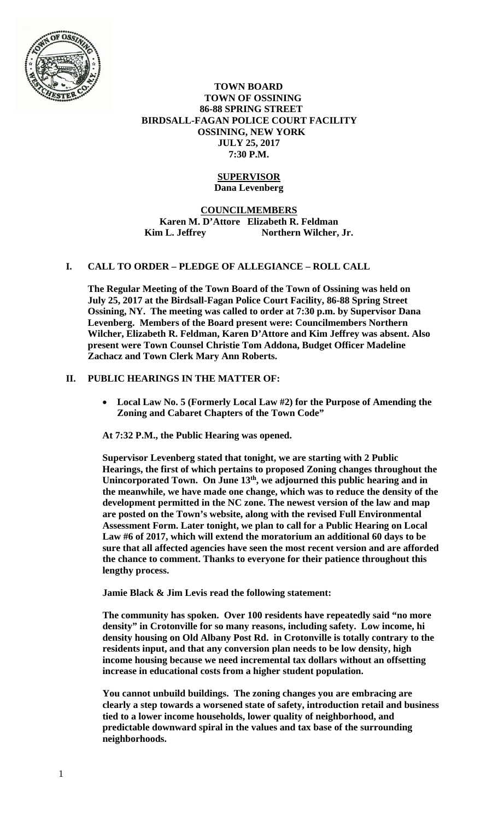

### **TOWN BOARD TOWN OF OSSINING 86-88 SPRING STREET BIRDSALL-FAGAN POLICE COURT FACILITY OSSINING, NEW YORK JULY 25, 2017 7:30 P.M.**

## **SUPERVISOR Dana Levenberg**

# **COUNCILMEMBERS Karen M. D'Attore Elizabeth R. Feldman**  Kim L. Jeffrey Northern Wilcher, Jr.

# **I. CALL TO ORDER – PLEDGE OF ALLEGIANCE – ROLL CALL**

**The Regular Meeting of the Town Board of the Town of Ossining was held on July 25, 2017 at the Birdsall-Fagan Police Court Facility, 86-88 Spring Street Ossining, NY. The meeting was called to order at 7:30 p.m. by Supervisor Dana Levenberg. Members of the Board present were: Councilmembers Northern Wilcher, Elizabeth R. Feldman, Karen D'Attore and Kim Jeffrey was absent. Also present were Town Counsel Christie Tom Addona, Budget Officer Madeline Zachacz and Town Clerk Mary Ann Roberts.** 

# **II. PUBLIC HEARINGS IN THE MATTER OF:**

 **Local Law No. 5 (Formerly Local Law #2) for the Purpose of Amending the Zoning and Cabaret Chapters of the Town Code"** 

**At 7:32 P.M., the Public Hearing was opened.** 

**Supervisor Levenberg stated that tonight, we are starting with 2 Public Hearings, the first of which pertains to proposed Zoning changes throughout the Unincorporated Town. On June 13th, we adjourned this public hearing and in the meanwhile, we have made one change, which was to reduce the density of the development permitted in the NC zone. The newest version of the law and map are posted on the Town's website, along with the revised Full Environmental Assessment Form. Later tonight, we plan to call for a Public Hearing on Local Law #6 of 2017, which will extend the moratorium an additional 60 days to be sure that all affected agencies have seen the most recent version and are afforded the chance to comment. Thanks to everyone for their patience throughout this lengthy process.** 

**Jamie Black & Jim Levis read the following statement:** 

**The community has spoken. Over 100 residents have repeatedly said "no more density" in Crotonville for so many reasons, including safety. Low income, hi density housing on Old Albany Post Rd. in Crotonville is totally contrary to the residents input, and that any conversion plan needs to be low density, high income housing because we need incremental tax dollars without an offsetting increase in educational costs from a higher student population.** 

**You cannot unbuild buildings. The zoning changes you are embracing are clearly a step towards a worsened state of safety, introduction retail and business tied to a lower income households, lower quality of neighborhood, and predictable downward spiral in the values and tax base of the surrounding neighborhoods.**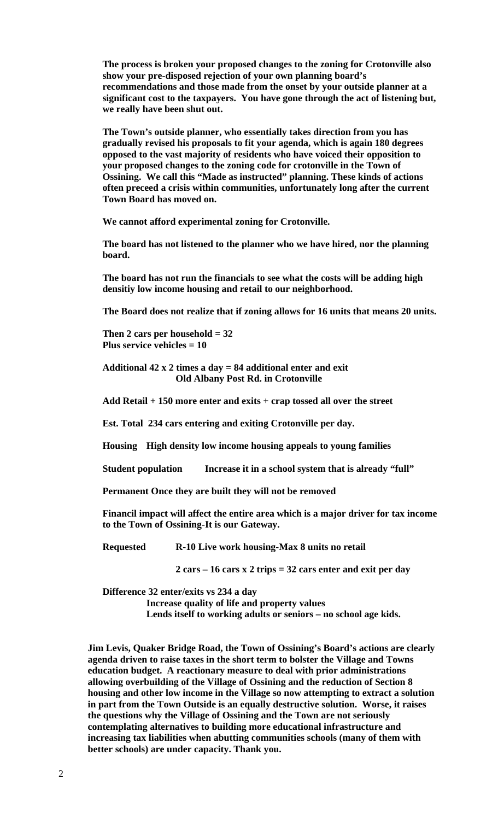**The process is broken your proposed changes to the zoning for Crotonville also show your pre-disposed rejection of your own planning board's recommendations and those made from the onset by your outside planner at a significant cost to the taxpayers. You have gone through the act of listening but, we really have been shut out.** 

**The Town's outside planner, who essentially takes direction from you has gradually revised his proposals to fit your agenda, which is again 180 degrees opposed to the vast majority of residents who have voiced their opposition to your proposed changes to the zoning code for crotonville in the Town of Ossining. We call this "Made as instructed" planning. These kinds of actions often preceed a crisis within communities, unfortunately long after the current Town Board has moved on.** 

**We cannot afford experimental zoning for Crotonville.** 

**The board has not listened to the planner who we have hired, nor the planning board.** 

**The board has not run the financials to see what the costs will be adding high densitiy low income housing and retail to our neighborhood.** 

**The Board does not realize that if zoning allows for 16 units that means 20 units.** 

**Then 2 cars per household = 32 Plus service vehicles = 10** 

**Additional 42 x 2 times a day = 84 additional enter and exit Old Albany Post Rd. in Crotonville** 

**Add Retail + 150 more enter and exits + crap tossed all over the street** 

**Est. Total 234 cars entering and exiting Crotonville per day.** 

**Housing High density low income housing appeals to young families** 

**Student population** Increase it in a school system that is already "full"

**Permanent Once they are built they will not be removed** 

**Financil impact will affect the entire area which is a major driver for tax income to the Town of Ossining-It is our Gateway.** 

**Requested R-10 Live work housing-Max 8 units no retail** 

 **2 cars – 16 cars x 2 trips = 32 cars enter and exit per day** 

**Difference 32 enter/exits vs 234 a day** 

 **Increase quality of life and property values** 

 **Lends itself to working adults or seniors – no school age kids.** 

**Jim Levis, Quaker Bridge Road, the Town of Ossining's Board's actions are clearly agenda driven to raise taxes in the short term to bolster the Village and Towns education budget. A reactionary measure to deal with prior administrations allowing overbuilding of the Village of Ossining and the reduction of Section 8 housing and other low income in the Village so now attempting to extract a solution in part from the Town Outside is an equally destructive solution. Worse, it raises the questions why the Village of Ossining and the Town are not seriously contemplating alternatives to building more educational infrastructure and increasing tax liabilities when abutting communities schools (many of them with better schools) are under capacity. Thank you.**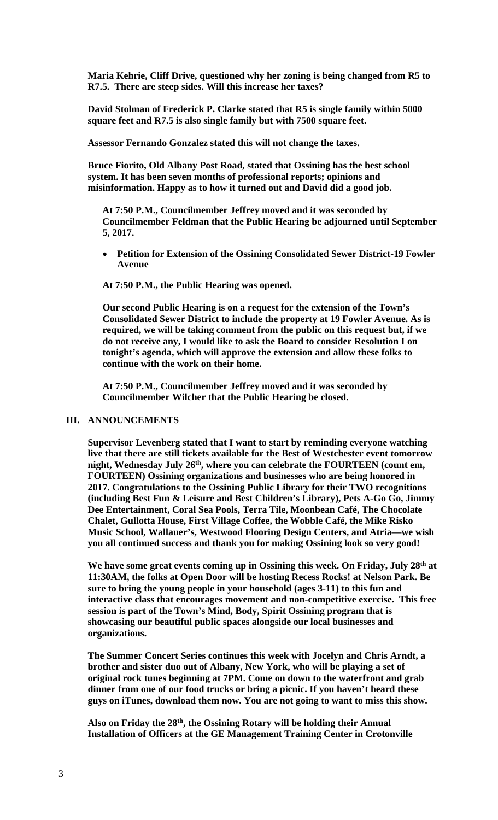**Maria Kehrie, Cliff Drive, questioned why her zoning is being changed from R5 to R7.5. There are steep sides. Will this increase her taxes?** 

**David Stolman of Frederick P. Clarke stated that R5 is single family within 5000 square feet and R7.5 is also single family but with 7500 square feet.** 

**Assessor Fernando Gonzalez stated this will not change the taxes.** 

**Bruce Fiorito, Old Albany Post Road, stated that Ossining has the best school system. It has been seven months of professional reports; opinions and misinformation. Happy as to how it turned out and David did a good job.** 

**At 7:50 P.M., Councilmember Jeffrey moved and it was seconded by Councilmember Feldman that the Public Hearing be adjourned until September 5, 2017.** 

 **Petition for Extension of the Ossining Consolidated Sewer District-19 Fowler Avenue**

**At 7:50 P.M., the Public Hearing was opened.** 

**Our second Public Hearing is on a request for the extension of the Town's Consolidated Sewer District to include the property at 19 Fowler Avenue. As is required, we will be taking comment from the public on this request but, if we do not receive any, I would like to ask the Board to consider Resolution I on tonight's agenda, which will approve the extension and allow these folks to continue with the work on their home.** 

**At 7:50 P.M., Councilmember Jeffrey moved and it was seconded by Councilmember Wilcher that the Public Hearing be closed.** 

### **III. ANNOUNCEMENTS**

**Supervisor Levenberg stated that I want to start by reminding everyone watching live that there are still tickets available for the Best of Westchester event tomorrow night, Wednesday July 26th, where you can celebrate the FOURTEEN (count em, FOURTEEN) Ossining organizations and businesses who are being honored in 2017. Congratulations to the Ossining Public Library for their TWO recognitions (including Best Fun & Leisure and Best Children's Library), Pets A-Go Go, Jimmy Dee Entertainment, Coral Sea Pools, Terra Tile, Moonbean Café, The Chocolate Chalet, Gullotta House, First Village Coffee, the Wobble Café, the Mike Risko Music School, Wallauer's, Westwood Flooring Design Centers, and Atria—we wish you all continued success and thank you for making Ossining look so very good!** 

We have some great events coming up in Ossining this week. On Friday, July 28<sup>th</sup> at **11:30AM, the folks at Open Door will be hosting Recess Rocks! at Nelson Park. Be sure to bring the young people in your household (ages 3-11) to this fun and interactive class that encourages movement and non-competitive exercise. This free session is part of the Town's Mind, Body, Spirit Ossining program that is showcasing our beautiful public spaces alongside our local businesses and organizations.** 

**The Summer Concert Series continues this week with Jocelyn and Chris Arndt, a brother and sister duo out of Albany, New York, who will be playing a set of original rock tunes beginning at 7PM. Come on down to the waterfront and grab dinner from one of our food trucks or bring a picnic. If you haven't heard these guys on iTunes, download them now. You are not going to want to miss this show.** 

**Also on Friday the 28th, the Ossining Rotary will be holding their Annual Installation of Officers at the GE Management Training Center in Crotonville**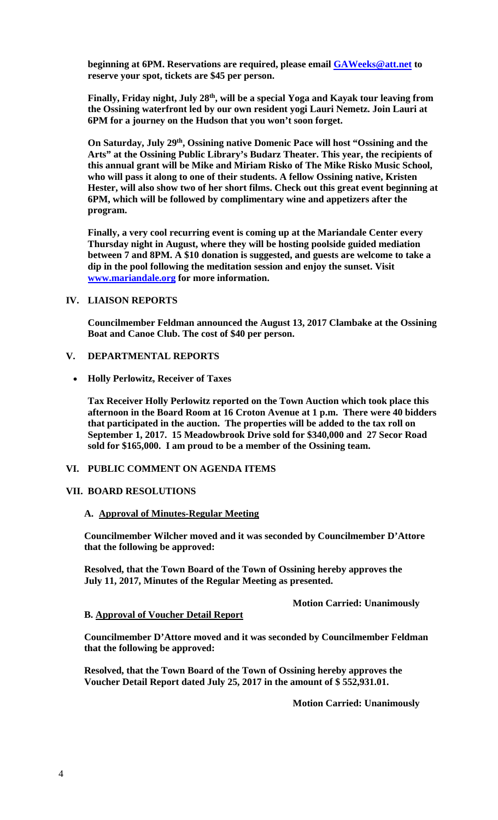**beginning at 6PM. Reservations are required, please email GAWeeks@att.net to reserve your spot, tickets are \$45 per person.** 

**Finally, Friday night, July 28th, will be a special Yoga and Kayak tour leaving from the Ossining waterfront led by our own resident yogi Lauri Nemetz. Join Lauri at 6PM for a journey on the Hudson that you won't soon forget.** 

**On Saturday, July 29th, Ossining native Domenic Pace will host "Ossining and the Arts" at the Ossining Public Library's Budarz Theater. This year, the recipients of this annual grant will be Mike and Miriam Risko of The Mike Risko Music School, who will pass it along to one of their students. A fellow Ossining native, Kristen Hester, will also show two of her short films. Check out this great event beginning at 6PM, which will be followed by complimentary wine and appetizers after the program.** 

**Finally, a very cool recurring event is coming up at the Mariandale Center every Thursday night in August, where they will be hosting poolside guided mediation between 7 and 8PM. A \$10 donation is suggested, and guests are welcome to take a dip in the pool following the meditation session and enjoy the sunset. Visit www.mariandale.org for more information.** 

### **IV. LIAISON REPORTS**

**Councilmember Feldman announced the August 13, 2017 Clambake at the Ossining Boat and Canoe Club. The cost of \$40 per person.** 

# **V. DEPARTMENTAL REPORTS**

**Holly Perlowitz, Receiver of Taxes**

**Tax Receiver Holly Perlowitz reported on the Town Auction which took place this afternoon in the Board Room at 16 Croton Avenue at 1 p.m. There were 40 bidders that participated in the auction. The properties will be added to the tax roll on September 1, 2017. 15 Meadowbrook Drive sold for \$340,000 and 27 Secor Road sold for \$165,000. I am proud to be a member of the Ossining team.** 

## **VI. PUBLIC COMMENT ON AGENDA ITEMS**

### **VII. BOARD RESOLUTIONS**

#### **A. Approval of Minutes-Regular Meeting**

**Councilmember Wilcher moved and it was seconded by Councilmember D'Attore that the following be approved:** 

**Resolved, that the Town Board of the Town of Ossining hereby approves the July 11, 2017, Minutes of the Regular Meeting as presented.** 

 **Motion Carried: Unanimously** 

#### **B. Approval of Voucher Detail Report**

**Councilmember D'Attore moved and it was seconded by Councilmember Feldman that the following be approved:** 

**Resolved, that the Town Board of the Town of Ossining hereby approves the Voucher Detail Report dated July 25, 2017 in the amount of \$ 552,931.01.** 

 **Motion Carried: Unanimously**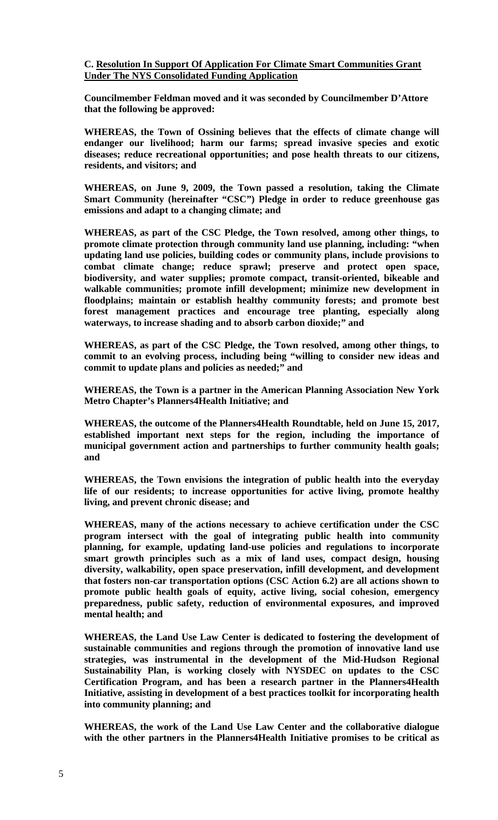**C. Resolution In Support Of Application For Climate Smart Communities Grant Under The NYS Consolidated Funding Application** 

**Councilmember Feldman moved and it was seconded by Councilmember D'Attore that the following be approved:** 

**WHEREAS, the Town of Ossining believes that the effects of climate change will endanger our livelihood; harm our farms; spread invasive species and exotic diseases; reduce recreational opportunities; and pose health threats to our citizens, residents, and visitors; and** 

**WHEREAS, on June 9, 2009, the Town passed a resolution, taking the Climate Smart Community (hereinafter "CSC") Pledge in order to reduce greenhouse gas emissions and adapt to a changing climate; and** 

**WHEREAS, as part of the CSC Pledge, the Town resolved, among other things, to promote climate protection through community land use planning, including: "when updating land use policies, building codes or community plans, include provisions to combat climate change; reduce sprawl; preserve and protect open space, biodiversity, and water supplies; promote compact, transit-oriented, bikeable and walkable communities; promote infill development; minimize new development in floodplains; maintain or establish healthy community forests; and promote best forest management practices and encourage tree planting, especially along waterways, to increase shading and to absorb carbon dioxide;" and** 

**WHEREAS, as part of the CSC Pledge, the Town resolved, among other things, to commit to an evolving process, including being "willing to consider new ideas and commit to update plans and policies as needed;" and** 

**WHEREAS, the Town is a partner in the American Planning Association New York Metro Chapter's Planners4Health Initiative; and** 

**WHEREAS, the outcome of the Planners4Health Roundtable, held on June 15, 2017, established important next steps for the region, including the importance of municipal government action and partnerships to further community health goals; and** 

**WHEREAS, the Town envisions the integration of public health into the everyday life of our residents; to increase opportunities for active living, promote healthy living, and prevent chronic disease; and** 

**WHEREAS, many of the actions necessary to achieve certification under the CSC program intersect with the goal of integrating public health into community planning, for example, updating land-use policies and regulations to incorporate smart growth principles such as a mix of land uses, compact design, housing diversity, walkability, open space preservation, infill development, and development that fosters non-car transportation options (CSC Action 6.2) are all actions shown to promote public health goals of equity, active living, social cohesion, emergency preparedness, public safety, reduction of environmental exposures, and improved mental health; and** 

**WHEREAS, the Land Use Law Center is dedicated to fostering the development of sustainable communities and regions through the promotion of innovative land use strategies, was instrumental in the development of the Mid-Hudson Regional Sustainability Plan, is working closely with NYSDEC on updates to the CSC Certification Program, and has been a research partner in the Planners4Health Initiative, assisting in development of a best practices toolkit for incorporating health into community planning; and** 

**WHEREAS, the work of the Land Use Law Center and the collaborative dialogue with the other partners in the Planners4Health Initiative promises to be critical as**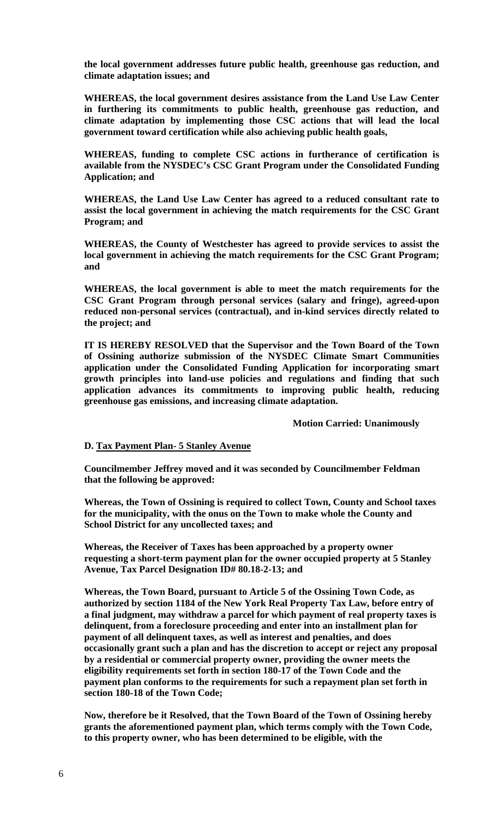**the local government addresses future public health, greenhouse gas reduction, and climate adaptation issues; and** 

**WHEREAS, the local government desires assistance from the Land Use Law Center in furthering its commitments to public health, greenhouse gas reduction, and climate adaptation by implementing those CSC actions that will lead the local government toward certification while also achieving public health goals,** 

**WHEREAS, funding to complete CSC actions in furtherance of certification is available from the NYSDEC's CSC Grant Program under the Consolidated Funding Application; and** 

**WHEREAS, the Land Use Law Center has agreed to a reduced consultant rate to assist the local government in achieving the match requirements for the CSC Grant Program; and** 

**WHEREAS, the County of Westchester has agreed to provide services to assist the local government in achieving the match requirements for the CSC Grant Program; and** 

**WHEREAS, the local government is able to meet the match requirements for the CSC Grant Program through personal services (salary and fringe), agreed-upon reduced non-personal services (contractual), and in-kind services directly related to the project; and** 

**IT IS HEREBY RESOLVED that the Supervisor and the Town Board of the Town of Ossining authorize submission of the NYSDEC Climate Smart Communities application under the Consolidated Funding Application for incorporating smart growth principles into land-use policies and regulations and finding that such application advances its commitments to improving public health, reducing greenhouse gas emissions, and increasing climate adaptation.** 

 **Motion Carried: Unanimously** 

## **D. Tax Payment Plan- 5 Stanley Avenue**

**Councilmember Jeffrey moved and it was seconded by Councilmember Feldman that the following be approved:** 

**Whereas, the Town of Ossining is required to collect Town, County and School taxes for the municipality, with the onus on the Town to make whole the County and School District for any uncollected taxes; and** 

**Whereas, the Receiver of Taxes has been approached by a property owner requesting a short-term payment plan for the owner occupied property at 5 Stanley Avenue, Tax Parcel Designation ID# 80.18-2-13; and** 

**Whereas, the Town Board, pursuant to Article 5 of the Ossining Town Code, as authorized by section 1184 of the New York Real Property Tax Law, before entry of a final judgment, may withdraw a parcel for which payment of real property taxes is delinquent, from a foreclosure proceeding and enter into an installment plan for payment of all delinquent taxes, as well as interest and penalties, and does occasionally grant such a plan and has the discretion to accept or reject any proposal by a residential or commercial property owner, providing the owner meets the eligibility requirements set forth in section 180-17 of the Town Code and the payment plan conforms to the requirements for such a repayment plan set forth in section 180-18 of the Town Code;** 

**Now, therefore be it Resolved, that the Town Board of the Town of Ossining hereby grants the aforementioned payment plan, which terms comply with the Town Code, to this property owner, who has been determined to be eligible, with the**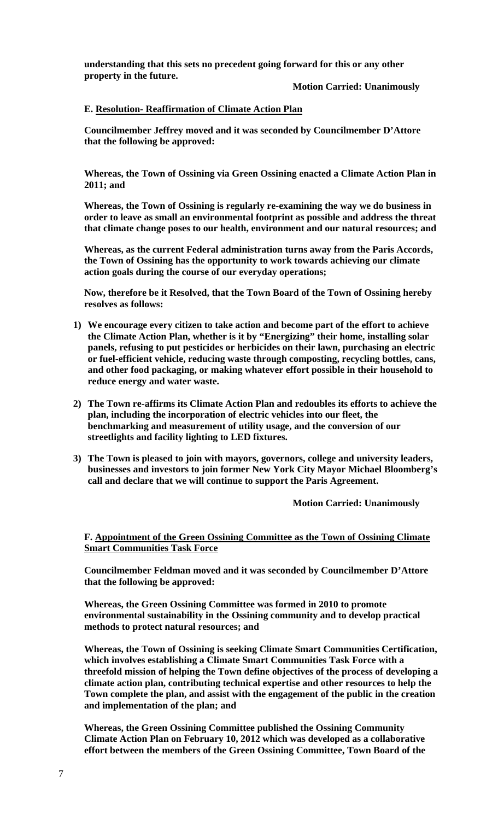**understanding that this sets no precedent going forward for this or any other property in the future.** 

 **Motion Carried: Unanimously** 

## **E. Resolution- Reaffirmation of Climate Action Plan**

**Councilmember Jeffrey moved and it was seconded by Councilmember D'Attore that the following be approved:** 

**Whereas, the Town of Ossining via Green Ossining enacted a Climate Action Plan in 2011; and** 

**Whereas, the Town of Ossining is regularly re-examining the way we do business in order to leave as small an environmental footprint as possible and address the threat that climate change poses to our health, environment and our natural resources; and** 

**Whereas, as the current Federal administration turns away from the Paris Accords, the Town of Ossining has the opportunity to work towards achieving our climate action goals during the course of our everyday operations;** 

**Now, therefore be it Resolved, that the Town Board of the Town of Ossining hereby resolves as follows:** 

- **1) We encourage every citizen to take action and become part of the effort to achieve the Climate Action Plan, whether is it by "Energizing" their home, installing solar panels, refusing to put pesticides or herbicides on their lawn, purchasing an electric or fuel-efficient vehicle, reducing waste through composting, recycling bottles, cans, and other food packaging, or making whatever effort possible in their household to reduce energy and water waste.**
- **2) The Town re-affirms its Climate Action Plan and redoubles its efforts to achieve the plan, including the incorporation of electric vehicles into our fleet, the benchmarking and measurement of utility usage, and the conversion of our streetlights and facility lighting to LED fixtures.**
- **3) The Town is pleased to join with mayors, governors, college and university leaders, businesses and investors to join former New York City Mayor Michael Bloomberg's call and declare that we will continue to support the Paris Agreement.**

**Motion Carried: Unanimously** 

**F. Appointment of the Green Ossining Committee as the Town of Ossining Climate Smart Communities Task Force** 

**Councilmember Feldman moved and it was seconded by Councilmember D'Attore that the following be approved:** 

**Whereas, the Green Ossining Committee was formed in 2010 to promote environmental sustainability in the Ossining community and to develop practical methods to protect natural resources; and** 

**Whereas, the Town of Ossining is seeking Climate Smart Communities Certification, which involves establishing a Climate Smart Communities Task Force with a threefold mission of helping the Town define objectives of the process of developing a climate action plan, contributing technical expertise and other resources to help the Town complete the plan, and assist with the engagement of the public in the creation and implementation of the plan; and** 

**Whereas, the Green Ossining Committee published the Ossining Community Climate Action Plan on February 10, 2012 which was developed as a collaborative effort between the members of the Green Ossining Committee, Town Board of the**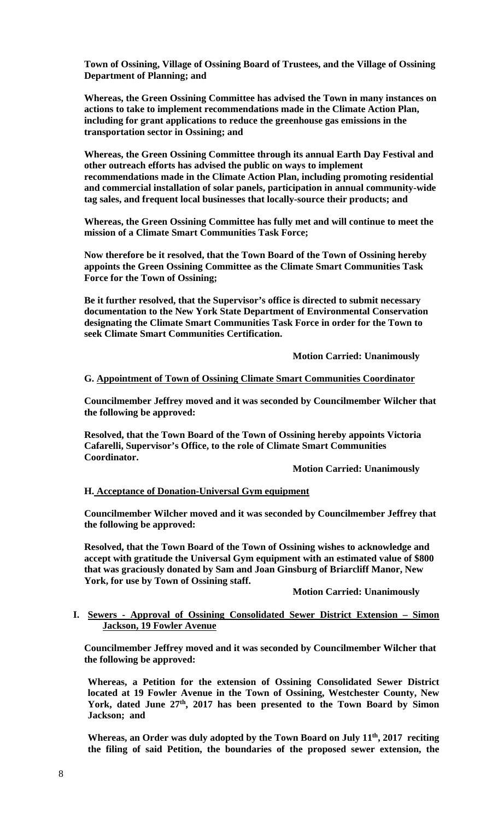**Town of Ossining, Village of Ossining Board of Trustees, and the Village of Ossining Department of Planning; and** 

**Whereas, the Green Ossining Committee has advised the Town in many instances on actions to take to implement recommendations made in the Climate Action Plan, including for grant applications to reduce the greenhouse gas emissions in the transportation sector in Ossining; and** 

**Whereas, the Green Ossining Committee through its annual Earth Day Festival and other outreach efforts has advised the public on ways to implement recommendations made in the Climate Action Plan, including promoting residential and commercial installation of solar panels, participation in annual community-wide tag sales, and frequent local businesses that locally-source their products; and** 

**Whereas, the Green Ossining Committee has fully met and will continue to meet the mission of a Climate Smart Communities Task Force;** 

**Now therefore be it resolved, that the Town Board of the Town of Ossining hereby appoints the Green Ossining Committee as the Climate Smart Communities Task Force for the Town of Ossining;** 

**Be it further resolved, that the Supervisor's office is directed to submit necessary documentation to the New York State Department of Environmental Conservation designating the Climate Smart Communities Task Force in order for the Town to seek Climate Smart Communities Certification.** 

 **Motion Carried: Unanimously** 

**G. Appointment of Town of Ossining Climate Smart Communities Coordinator** 

**Councilmember Jeffrey moved and it was seconded by Councilmember Wilcher that the following be approved:** 

**Resolved, that the Town Board of the Town of Ossining hereby appoints Victoria Cafarelli, Supervisor's Office, to the role of Climate Smart Communities Coordinator.** 

 **Motion Carried: Unanimously** 

#### **H. Acceptance of Donation-Universal Gym equipment**

**Councilmember Wilcher moved and it was seconded by Councilmember Jeffrey that the following be approved:** 

**Resolved, that the Town Board of the Town of Ossining wishes to acknowledge and accept with gratitude the Universal Gym equipment with an estimated value of \$800 that was graciously donated by Sam and Joan Ginsburg of Briarcliff Manor, New York, for use by Town of Ossining staff.** 

#### **Motion Carried: Unanimously**

### **I. Sewers - Approval of Ossining Consolidated Sewer District Extension – Simon Jackson, 19 Fowler Avenue**

**Councilmember Jeffrey moved and it was seconded by Councilmember Wilcher that the following be approved:** 

**Whereas, a Petition for the extension of Ossining Consolidated Sewer District located at 19 Fowler Avenue in the Town of Ossining, Westchester County, New**  York, dated June 27<sup>th</sup>, 2017 has been presented to the Town Board by Simon **Jackson; and** 

Whereas, an Order was duly adopted by the Town Board on July 11<sup>th</sup>, 2017 reciting **the filing of said Petition, the boundaries of the proposed sewer extension, the**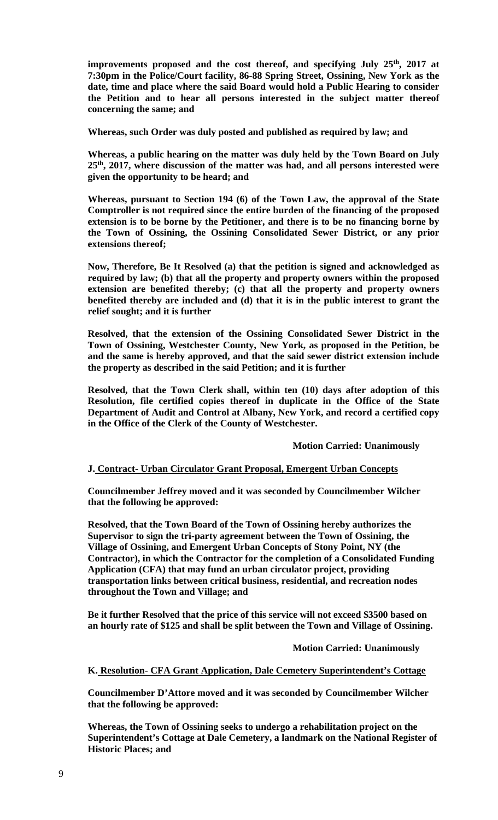improvements proposed and the cost thereof, and specifying July 25<sup>th</sup>, 2017 at **7:30pm in the Police/Court facility, 86-88 Spring Street, Ossining, New York as the date, time and place where the said Board would hold a Public Hearing to consider the Petition and to hear all persons interested in the subject matter thereof concerning the same; and** 

**Whereas, such Order was duly posted and published as required by law; and** 

**Whereas, a public hearing on the matter was duly held by the Town Board on July 25th, 2017, where discussion of the matter was had, and all persons interested were given the opportunity to be heard; and** 

**Whereas, pursuant to Section 194 (6) of the Town Law, the approval of the State Comptroller is not required since the entire burden of the financing of the proposed extension is to be borne by the Petitioner, and there is to be no financing borne by the Town of Ossining, the Ossining Consolidated Sewer District, or any prior extensions thereof;** 

**Now, Therefore, Be It Resolved (a) that the petition is signed and acknowledged as required by law; (b) that all the property and property owners within the proposed extension are benefited thereby; (c) that all the property and property owners benefited thereby are included and (d) that it is in the public interest to grant the relief sought; and it is further** 

**Resolved, that the extension of the Ossining Consolidated Sewer District in the Town of Ossining, Westchester County, New York, as proposed in the Petition, be and the same is hereby approved, and that the said sewer district extension include the property as described in the said Petition; and it is further** 

**Resolved, that the Town Clerk shall, within ten (10) days after adoption of this Resolution, file certified copies thereof in duplicate in the Office of the State Department of Audit and Control at Albany, New York, and record a certified copy in the Office of the Clerk of the County of Westchester.** 

 **Motion Carried: Unanimously** 

## **J. Contract- Urban Circulator Grant Proposal, Emergent Urban Concepts**

**Councilmember Jeffrey moved and it was seconded by Councilmember Wilcher that the following be approved:** 

**Resolved, that the Town Board of the Town of Ossining hereby authorizes the Supervisor to sign the tri-party agreement between the Town of Ossining, the Village of Ossining, and Emergent Urban Concepts of Stony Point, NY (the Contractor), in which the Contractor for the completion of a Consolidated Funding Application (CFA) that may fund an urban circulator project, providing transportation links between critical business, residential, and recreation nodes throughout the Town and Village; and** 

**Be it further Resolved that the price of this service will not exceed \$3500 based on an hourly rate of \$125 and shall be split between the Town and Village of Ossining.** 

 **Motion Carried: Unanimously** 

**K. Resolution- CFA Grant Application, Dale Cemetery Superintendent's Cottage** 

**Councilmember D'Attore moved and it was seconded by Councilmember Wilcher that the following be approved:** 

**Whereas, the Town of Ossining seeks to undergo a rehabilitation project on the Superintendent's Cottage at Dale Cemetery, a landmark on the National Register of Historic Places; and**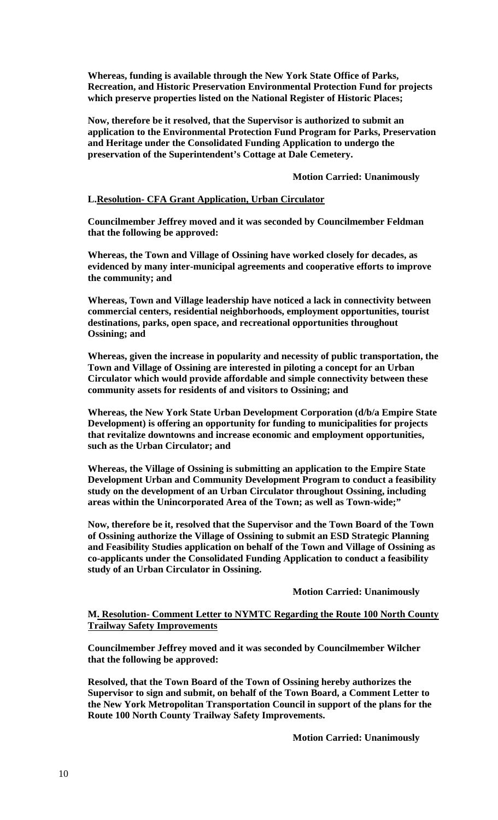**Whereas, funding is available through the New York State Office of Parks, Recreation, and Historic Preservation Environmental Protection Fund for projects which preserve properties listed on the National Register of Historic Places;** 

**Now, therefore be it resolved, that the Supervisor is authorized to submit an application to the Environmental Protection Fund Program for Parks, Preservation and Heritage under the Consolidated Funding Application to undergo the preservation of the Superintendent's Cottage at Dale Cemetery.** 

# **Motion Carried: Unanimously**

# **L.Resolution- CFA Grant Application, Urban Circulator**

**Councilmember Jeffrey moved and it was seconded by Councilmember Feldman that the following be approved:** 

**Whereas, the Town and Village of Ossining have worked closely for decades, as evidenced by many inter-municipal agreements and cooperative efforts to improve the community; and** 

**Whereas, Town and Village leadership have noticed a lack in connectivity between commercial centers, residential neighborhoods, employment opportunities, tourist destinations, parks, open space, and recreational opportunities throughout Ossining; and** 

**Whereas, given the increase in popularity and necessity of public transportation, the Town and Village of Ossining are interested in piloting a concept for an Urban Circulator which would provide affordable and simple connectivity between these community assets for residents of and visitors to Ossining; and** 

**Whereas, the New York State Urban Development Corporation (d/b/a Empire State Development) is offering an opportunity for funding to municipalities for projects that revitalize downtowns and increase economic and employment opportunities, such as the Urban Circulator; and** 

**Whereas, the Village of Ossining is submitting an application to the Empire State Development Urban and Community Development Program to conduct a feasibility study on the development of an Urban Circulator throughout Ossining, including areas within the Unincorporated Area of the Town; as well as Town-wide;"** 

**Now, therefore be it, resolved that the Supervisor and the Town Board of the Town of Ossining authorize the Village of Ossining to submit an ESD Strategic Planning and Feasibility Studies application on behalf of the Town and Village of Ossining as co-applicants under the Consolidated Funding Application to conduct a feasibility study of an Urban Circulator in Ossining.** 

## **Motion Carried: Unanimously**

## **M. Resolution- Comment Letter to NYMTC Regarding the Route 100 North County Trailway Safety Improvements**

**Councilmember Jeffrey moved and it was seconded by Councilmember Wilcher that the following be approved:** 

**Resolved, that the Town Board of the Town of Ossining hereby authorizes the Supervisor to sign and submit, on behalf of the Town Board, a Comment Letter to the New York Metropolitan Transportation Council in support of the plans for the Route 100 North County Trailway Safety Improvements.** 

 **Motion Carried: Unanimously**